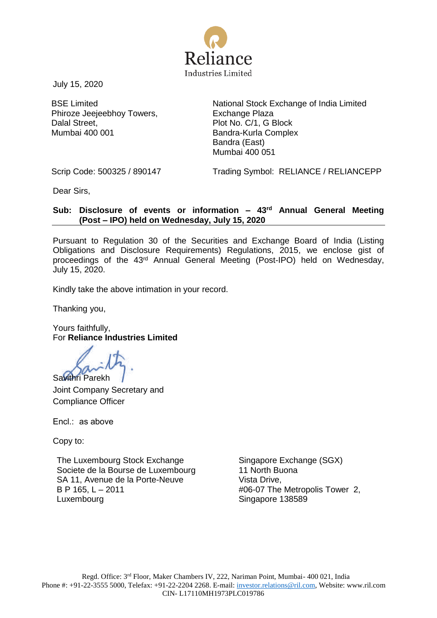

July 15, 2020

BSE Limited Phiroze Jeejeebhoy Towers, Dalal Street, Mumbai 400 001

National Stock Exchange of India Limited Exchange Plaza Plot No. C/1, G Block Bandra-Kurla Complex Bandra (East) Mumbai 400 051

Scrip Code: 500325 / 890147 Trading Symbol: RELIANCE / RELIANCEPP

Dear Sirs,

#### **Sub: Disclosure of events or information – 43rd Annual General Meeting (Post – IPO) held on Wednesday, July 15, 2020**

Pursuant to Regulation 30 of the Securities and Exchange Board of India (Listing Obligations and Disclosure Requirements) Regulations, 2015, we enclose gist of proceedings of the 43rd Annual General Meeting (Post-IPO) held on Wednesday, July 15, 2020.

Kindly take the above intimation in your record.

Thanking you,

Yours faithfully, For **Reliance Industries Limited**

Savithri Parekh

Joint Company Secretary and Compliance Officer

Encl.: as above

Copy to:

The Luxembourg Stock Exchange Societe de la Bourse de Luxembourg SA 11, Avenue de la Porte-Neuve B P 165, L – 2011 Luxembourg

Singapore Exchange (SGX) 11 North Buona Vista Drive, #06-07 The Metropolis Tower 2, Singapore 138589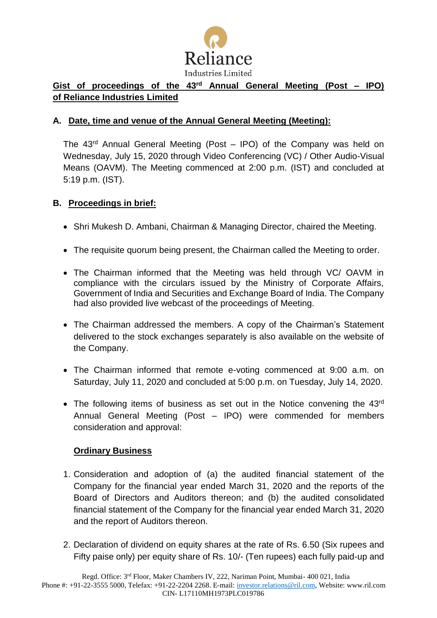

# **Gist of proceedings of the 43rd Annual General Meeting (Post – IPO) of Reliance Industries Limited**

## **A. Date, time and venue of the Annual General Meeting (Meeting):**

The  $43<sup>rd</sup>$  Annual General Meeting (Post – IPO) of the Company was held on Wednesday, July 15, 2020 through Video Conferencing (VC) / Other Audio-Visual Means (OAVM). The Meeting commenced at 2:00 p.m. (IST) and concluded at 5:19 p.m. (IST).

## **B. Proceedings in brief:**

- Shri Mukesh D. Ambani, Chairman & Managing Director, chaired the Meeting.
- The requisite quorum being present, the Chairman called the Meeting to order.
- The Chairman informed that the Meeting was held through VC/ OAVM in compliance with the circulars issued by the Ministry of Corporate Affairs, Government of India and Securities and Exchange Board of India. The Company had also provided live webcast of the proceedings of Meeting.
- The Chairman addressed the members. A copy of the Chairman's Statement delivered to the stock exchanges separately is also available on the website of the Company.
- The Chairman informed that remote e-voting commenced at 9:00 a.m. on Saturday, July 11, 2020 and concluded at 5:00 p.m. on Tuesday, July 14, 2020.
- The following items of business as set out in the Notice convening the 43rd Annual General Meeting (Post – IPO) were commended for members consideration and approval:

## **Ordinary Business**

- 1. Consideration and adoption of (a) the audited financial statement of the Company for the financial year ended March 31, 2020 and the reports of the Board of Directors and Auditors thereon; and (b) the audited consolidated financial statement of the Company for the financial year ended March 31, 2020 and the report of Auditors thereon.
- 2. Declaration of dividend on equity shares at the rate of Rs. 6.50 (Six rupees and Fifty paise only) per equity share of Rs. 10/- (Ten rupees) each fully paid-up and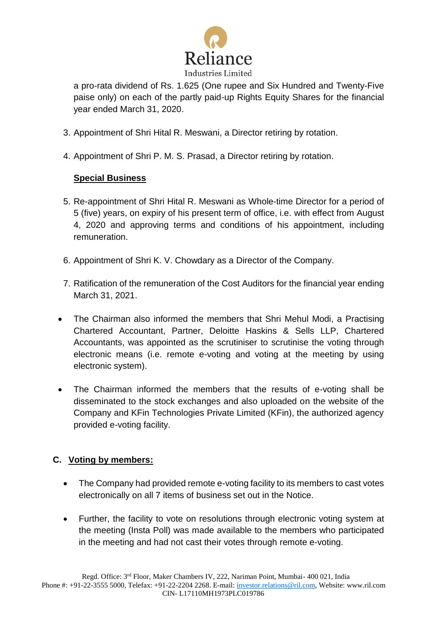

a pro-rata dividend of Rs. 1.625 (One rupee and Six Hundred and Twenty-Five paise only) on each of the partly paid-up Rights Equity Shares for the financial year ended March 31, 2020.

- 3. Appointment of Shri Hital R. Meswani, a Director retiring by rotation.
- 4. Appointment of Shri P. M. S. Prasad, a Director retiring by rotation.

## **Special Business**

- 5. Re-appointment of Shri Hital R. Meswani as Whole-time Director for a period of 5 (five) years, on expiry of his present term of office, i.e. with effect from August 4, 2020 and approving terms and conditions of his appointment, including remuneration.
- 6. Appointment of Shri K. V. Chowdary as a Director of the Company.
- 7. Ratification of the remuneration of the Cost Auditors for the financial year ending March 31, 2021.
- The Chairman also informed the members that Shri Mehul Modi, a Practising Chartered Accountant, Partner, Deloitte Haskins & Sells LLP, Chartered Accountants, was appointed as the scrutiniser to scrutinise the voting through electronic means (i.e. remote e-voting and voting at the meeting by using electronic system).
- The Chairman informed the members that the results of e-voting shall be disseminated to the stock exchanges and also uploaded on the website of the Company and KFin Technologies Private Limited (KFin), the authorized agency provided e-voting facility.

# **C. Voting by members:**

- The Company had provided remote e-voting facility to its members to cast votes electronically on all 7 items of business set out in the Notice.
- Further, the facility to vote on resolutions through electronic voting system at the meeting (Insta Poll) was made available to the members who participated in the meeting and had not cast their votes through remote e-voting.